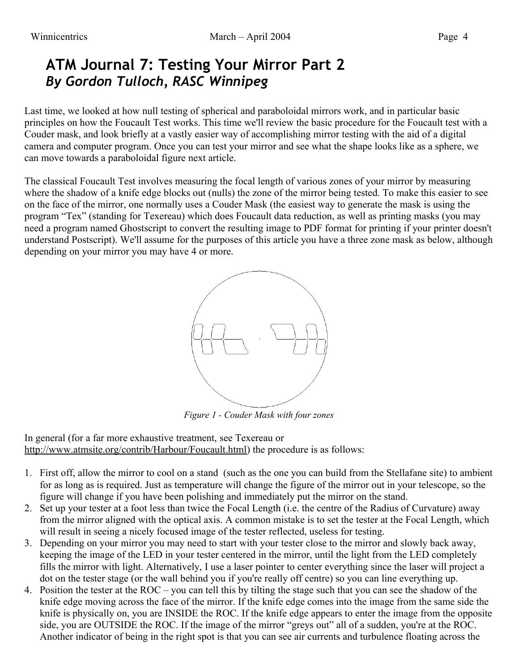## **ATM Journal 7: Testing Your Mirror Part 2** *By Gordon Tulloch, RASC Winnipeg*

Last time, we looked at how null testing of spherical and paraboloidal mirrors work, and in particular basic principles on how the Foucault Test works. This time we'll review the basic procedure for the Foucault test with a Couder mask, and look briefly at a vastly easier way of accomplishing mirror testing with the aid of a digital camera and computer program. Once you can test your mirror and see what the shape looks like as a sphere, we can move towards a paraboloidal figure next article.

The classical Foucault Test involves measuring the focal length of various zones of your mirror by measuring where the shadow of a knife edge blocks out (nulls) the zone of the mirror being tested. To make this easier to see on the face of the mirror, one normally uses a Couder Mask (the easiest way to generate the mask is using the program "Tex" (standing for Texereau) which does Foucault data reduction, as well as printing masks (you may need a program named Ghostscript to convert the resulting image to PDF format for printing if your printer doesn't understand Postscript). We'll assume for the purposes of this article you have a three zone mask as below, although depending on your mirror you may have 4 or more.



*Figure 1 - Couder Mask with four zones*

In general (for a far more exhaustive treatment, see Texereau or [http://www.atmsite.org/contrib/Harbour/Foucault.html\)](http://www.atmsite.org/contrib/Harbour/Foucault.html) the procedure is as follows:

- 1. First off, allow the mirror to cool on a stand (such as the one you can build from the Stellafane site) to ambient for as long as is required. Just as temperature will change the figure of the mirror out in your telescope, so the figure will change if you have been polishing and immediately put the mirror on the stand.
- 2. Set up your tester at a foot less than twice the Focal Length (i.e. the centre of the Radius of Curvature) away from the mirror aligned with the optical axis. A common mistake is to set the tester at the Focal Length, which will result in seeing a nicely focused image of the tester reflected, useless for testing.
- 3. Depending on your mirror you may need to start with your tester close to the mirror and slowly back away, keeping the image of the LED in your tester centered in the mirror, until the light from the LED completely fills the mirror with light. Alternatively, I use a laser pointer to center everything since the laser will project a dot on the tester stage (or the wall behind you if you're really off centre) so you can line everything up.
- 4. Position the tester at the ROC you can tell this by tilting the stage such that you can see the shadow of the knife edge moving across the face of the mirror. If the knife edge comes into the image from the same side the knife is physically on, you are INSIDE the ROC. If the knife edge appears to enter the image from the opposite side, you are OUTSIDE the ROC. If the image of the mirror "greys out" all of a sudden, you're at the ROC. Another indicator of being in the right spot is that you can see air currents and turbulence floating across the